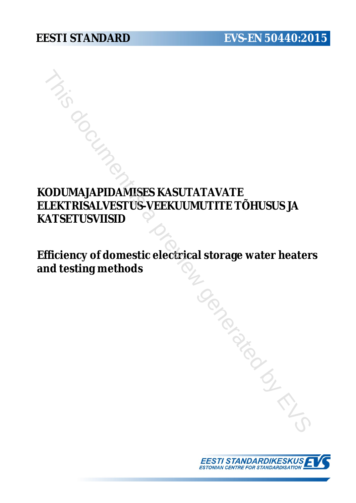# **KODUMAJAPIDAMISES KASUTATAVATE ELEKTRISALVESTUS-VEEKUUMUTITE TÕHUSUS JA KATSETUSVIISID** FRISALVESTUS-VEEKUUMUTITE TÕHUSUS JA<br>TSETUSVIISID<br>TSETUSVIISID<br>FICEINTE OF COMPARE CONTRADITE TÕHUSUS JA<br>TSETUSVIISID<br>FICEINT of domestic electrical storage water heate<br>to desting methods

**Efficiency of domestic electrical storage water heaters and testing methods**

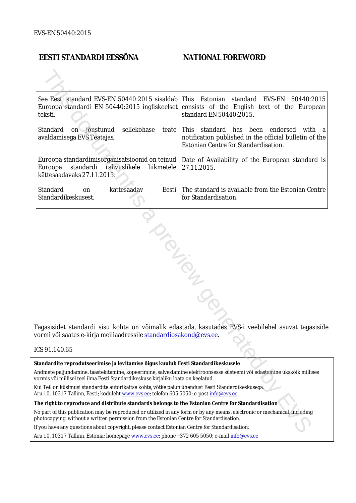## **EESTI STANDARDI EESSÕNA NATIONAL FOREWORD**

|                                                                                                                                                                                                                        | See Eesti standard EVS-EN 50440:2015 sisaldab This Estonian<br>teksti.            | standard<br>EVS-EN<br>50440:2015<br>Euroopa standardi EN 50440:2015 ingliskeelset consists of the English text of the European<br>standard EN 50440:2015.                                                                                                             |  |  |  |                                                                 |
|------------------------------------------------------------------------------------------------------------------------------------------------------------------------------------------------------------------------|-----------------------------------------------------------------------------------|-----------------------------------------------------------------------------------------------------------------------------------------------------------------------------------------------------------------------------------------------------------------------|--|--|--|-----------------------------------------------------------------|
| sellekohase<br>Standard<br>on jõustunud<br>avaldamisega EVS Teatajas<br>Euroopa<br>standardi rahvuslikele<br>liikmetele<br>kättesaadavaks 27.11.2015.                                                                  |                                                                                   | teate This standard has been endorsed<br>with a<br>notification published in the official bulletin of the<br>Estonian Centre for Standardisation.<br>Euroopa standardimisorganisatsioonid on teinud   Date of Availability of the European standard is<br>27.11.2015. |  |  |  |                                                                 |
|                                                                                                                                                                                                                        |                                                                                   |                                                                                                                                                                                                                                                                       |  |  |  | Standard<br>kättesaadav<br>Eesti  <br>on<br>Standardikeskusest. |
| Tagasisidet standardi sisu kohta on võimalik edastada, kasutades EVS-i veebilehel asuvat tagasiside<br>vormi või saates e-kirja meiliaadressile <u>standardiosakond@evs.ee</u> .<br>ICS 91.140.65                      |                                                                                   |                                                                                                                                                                                                                                                                       |  |  |  |                                                                 |
|                                                                                                                                                                                                                        |                                                                                   |                                                                                                                                                                                                                                                                       |  |  |  |                                                                 |
|                                                                                                                                                                                                                        | Standardite reprodutseerimise ja levitamise õigus kuulub Eesti Standardikeskusele |                                                                                                                                                                                                                                                                       |  |  |  |                                                                 |
| Andmete paljundamine, taastekitamine, kopeerimine, salvestamine elektroonsesse süsteemi või edastamine ükskõik millises<br>vormis või millisel teel ilma Eesti Standardikeskuse kirjaliku loata on keelatud.           |                                                                                   |                                                                                                                                                                                                                                                                       |  |  |  |                                                                 |
| Kui Teil on küsimusi standardite autorikaitse kohta, võtke palun ühendust Eesti Standardikeskusega:<br>Aru 10, 10317 Tallinn, Eesti; koduleht www.evs.ee; telefon 605 5050; e-post info@evs.ee                         |                                                                                   |                                                                                                                                                                                                                                                                       |  |  |  |                                                                 |
| The right to reproduce and distribute standards belongs to the Estonian Centre for Standardisation                                                                                                                     |                                                                                   |                                                                                                                                                                                                                                                                       |  |  |  |                                                                 |
| No part of this publication may be reproduced or utilized in any form or by any means, electronic or mechanical, including<br>ohotocopying, without a written permission from the Estonian Centre for Standardisation. |                                                                                   |                                                                                                                                                                                                                                                                       |  |  |  |                                                                 |
| If you have any questions about copyright, please contact Estonian Centre for Standardisation:                                                                                                                         |                                                                                   |                                                                                                                                                                                                                                                                       |  |  |  |                                                                 |
|                                                                                                                                                                                                                        |                                                                                   |                                                                                                                                                                                                                                                                       |  |  |  |                                                                 |

### ICS 91.140.65

Aru 10, 10317 Tallinn, Estonia; homepage [www.evs.ee](http://www.evs.ee/); phone +372 605 5050; e-mail info@evs.ee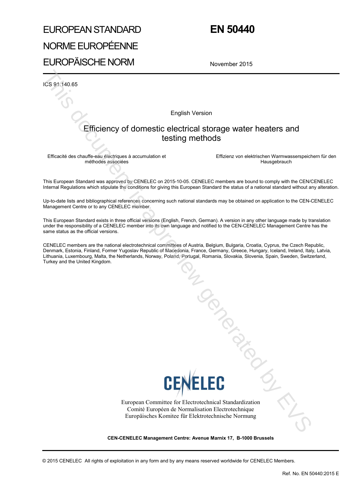# EUROPEAN STANDARD NORME EUROPÉENNE EUROPÄISCHE NORM

# **EN 50440**

November 2015

ICS 91.140.65

English Version

# Efficiency of domestic electrical storage water heaters and testing methods

Efficacité des chauffe-eau électriques à accumulation et méthodes associées

 Effizienz von elektrischen Warmwasserspeichern für den Hausgebrauch

This European Standard was approved by CENELEC on 2015-10-05. CENELEC members are bound to comply with the CEN/CENELEC Internal Regulations which stipulate the conditions for giving this European Standard the status of a national standard without any alteration.

Up-to-date lists and bibliographical references concerning such national standards may be obtained on application to the CEN-CENELEC Management Centre or to any CENELEC member.

This European Standard exists in three official versions (English, French, German). A version in any other language made by translation under the responsibility of a CENELEC member into its own language and notified to the CEN-CENELEC Management Centre has the same status as the official versions.

CENELEC members are the national electrotechnical committees of Austria, Belgium, Bulgaria, Croatia, Cyprus, the Czech Republic, Denmark, Estonia, Finland, Former Yugoslav Republic of Macedonia, France, Germany, Greece, Hungary, Iceland, Ireland, Italy, Latvia, Lithuania, Luxembourg, Malta, the Netherlands, Norway, Poland, Portugal, Romania, Slovakia, Slovenia, Spain, Sweden, Switzerland, Turkey and the United Kingdom.



European Committee for Electrotechnical Standardization Comité Européen de Normalisation Electrotechnique Europäisches Komitee für Elektrotechnische Normung January Contractor

**CEN-CENELEC Management Centre: Avenue Marnix 17, B-1000 Brussels** 

© 2015 CENELEC All rights of exploitation in any form and by any means reserved worldwide for CENELEC Members.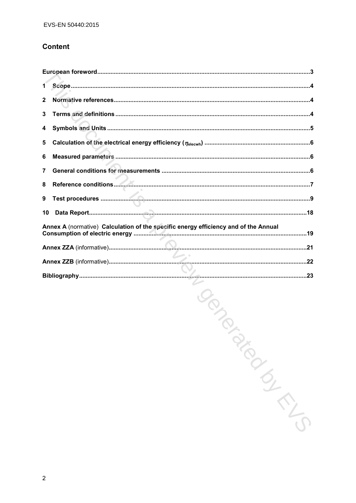### **Content**

| 1 <sup>1</sup> |                                                                                     |
|----------------|-------------------------------------------------------------------------------------|
| $\mathbf{2}$   |                                                                                     |
| 3              |                                                                                     |
| 4              |                                                                                     |
| 5              |                                                                                     |
| 6              |                                                                                     |
| $\overline{7}$ |                                                                                     |
| 8              |                                                                                     |
| 9              |                                                                                     |
| 10             |                                                                                     |
|                | Annex A (normative) Calculation of the specific energy efficiency and of the Annual |
|                |                                                                                     |
|                |                                                                                     |
|                |                                                                                     |

Management Co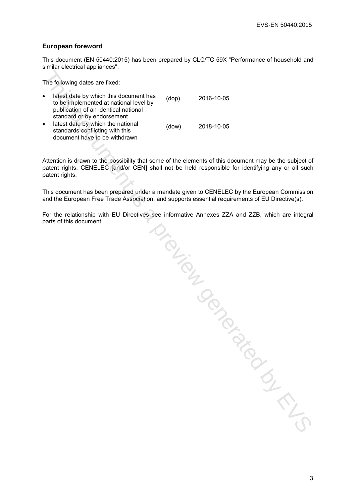### **European foreword**

This document (EN 50440:2015) has been prepared by CLC/TC 59X "Performance of household and similar electrical appliances".

The following dates are fixed:

| $\bullet$ | latest date by which this document has<br>to be implemented at national level by<br>publication of an identical national<br>standard or by endorsement | (dop) | 2016-10-05                                                                                                                                                                                                  |
|-----------|--------------------------------------------------------------------------------------------------------------------------------------------------------|-------|-------------------------------------------------------------------------------------------------------------------------------------------------------------------------------------------------------------|
| $\bullet$ | latest date by which the national<br>standards conflicting with this<br>document have to be withdrawn                                                  | (dow) | 2018-10-05                                                                                                                                                                                                  |
|           |                                                                                                                                                        |       |                                                                                                                                                                                                             |
|           | patent rights.                                                                                                                                         |       | Attention is drawn to the possibility that some of the elements of this document may be the subject of<br>patent rights. CENELEC [and/or CEN] shall not be held responsible for identifying any or all such |
|           |                                                                                                                                                        |       | This document has been prepared under a mandate given to CENELEC by the European Commission<br>and the European Free Trade Association, and supports essential requirements of EU Directive(s).             |
|           | parts of this document.                                                                                                                                |       | For the relationship with EU Directives see informative Annexes ZZA and ZZB, which are integral<br>JOUTES                                                                                                   |
|           |                                                                                                                                                        |       |                                                                                                                                                                                                             |
|           |                                                                                                                                                        |       |                                                                                                                                                                                                             |
|           |                                                                                                                                                        |       |                                                                                                                                                                                                             |
|           |                                                                                                                                                        |       |                                                                                                                                                                                                             |
|           |                                                                                                                                                        |       |                                                                                                                                                                                                             |
|           |                                                                                                                                                        |       |                                                                                                                                                                                                             |
|           |                                                                                                                                                        |       |                                                                                                                                                                                                             |
|           |                                                                                                                                                        |       |                                                                                                                                                                                                             |
|           |                                                                                                                                                        |       |                                                                                                                                                                                                             |
|           |                                                                                                                                                        |       |                                                                                                                                                                                                             |
|           |                                                                                                                                                        |       |                                                                                                                                                                                                             |
|           |                                                                                                                                                        |       |                                                                                                                                                                                                             |
|           |                                                                                                                                                        |       |                                                                                                                                                                                                             |
|           |                                                                                                                                                        |       |                                                                                                                                                                                                             |
|           |                                                                                                                                                        |       |                                                                                                                                                                                                             |
|           |                                                                                                                                                        |       |                                                                                                                                                                                                             |
|           |                                                                                                                                                        |       |                                                                                                                                                                                                             |
|           |                                                                                                                                                        |       |                                                                                                                                                                                                             |
|           |                                                                                                                                                        |       |                                                                                                                                                                                                             |
|           |                                                                                                                                                        |       |                                                                                                                                                                                                             |
|           |                                                                                                                                                        |       |                                                                                                                                                                                                             |
|           |                                                                                                                                                        |       |                                                                                                                                                                                                             |
|           |                                                                                                                                                        |       |                                                                                                                                                                                                             |
|           |                                                                                                                                                        |       |                                                                                                                                                                                                             |
|           |                                                                                                                                                        |       |                                                                                                                                                                                                             |
|           |                                                                                                                                                        |       |                                                                                                                                                                                                             |
|           |                                                                                                                                                        |       |                                                                                                                                                                                                             |